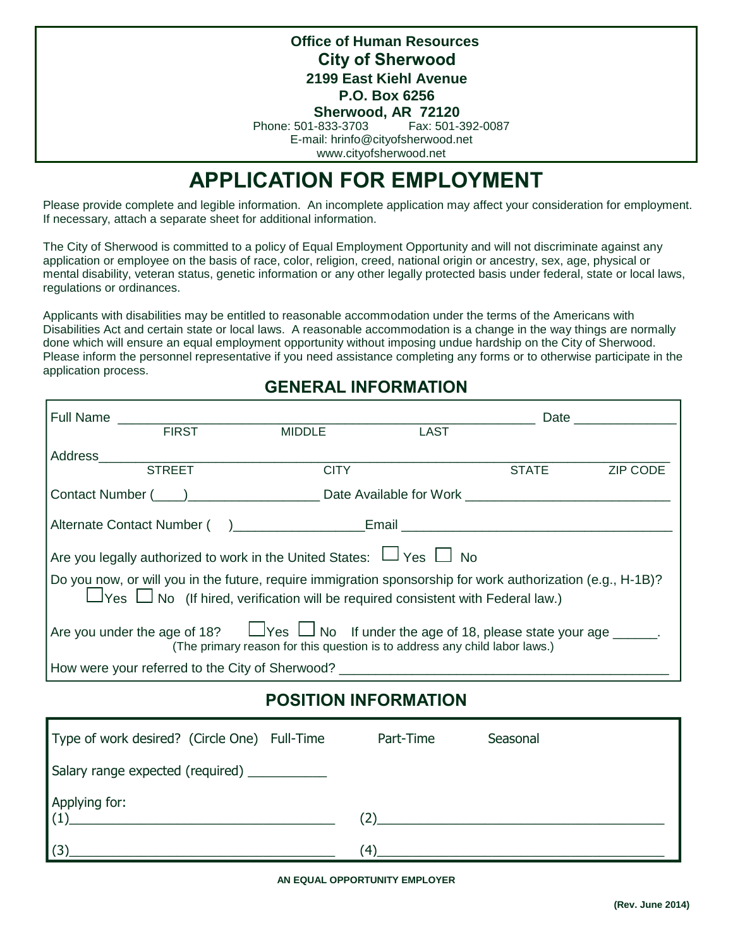**City of Sherwood Office of Human Resources 2199 East Kiehl Avenue P.O. Box 6256**

**Sherwood, AR 72120**<br>-833-3703 Fax: 501-392-0087 Phone: 501-833-3703

E-mail: hrinfo@cityofsherwood.net

www.cityofsherwood.net

# **APPLICATION FOR EMPLOYMENT**

Please provide complete and legible information. An incomplete application may affect your consideration for employment. If necessary, attach a separate sheet for additional information.

The City of Sherwood is committed to a policy of Equal Employment Opportunity and will not discriminate against any application or employee on the basis of race, color, religion, creed, national origin or ancestry, sex, age, physical or mental disability, veteran status, genetic information or any other legally protected basis under federal, state or local laws, regulations or ordinances.

Applicants with disabilities may be entitled to reasonable accommodation under the terms of the Americans with Disabilities Act and certain state or local laws. A reasonable accommodation is a change in the way things are normally done which will ensure an equal employment opportunity without imposing undue hardship on the City of Sherwood. Please inform the personnel representative if you need assistance completing any forms or to otherwise participate in the application process.

#### **GENERAL INFORMATION**

|                                                                                                                                                                                                            |               |                                                                                                                |             |              | Date and the second second second second second second second second second second second second second second second second second second second second second second second second second second second second second second |
|------------------------------------------------------------------------------------------------------------------------------------------------------------------------------------------------------------|---------------|----------------------------------------------------------------------------------------------------------------|-------------|--------------|--------------------------------------------------------------------------------------------------------------------------------------------------------------------------------------------------------------------------------|
|                                                                                                                                                                                                            | <b>FIRST</b>  | <b>MIDDLE</b>                                                                                                  | <b>LAST</b> |              |                                                                                                                                                                                                                                |
|                                                                                                                                                                                                            | Address       |                                                                                                                |             |              |                                                                                                                                                                                                                                |
|                                                                                                                                                                                                            | <b>STREET</b> | <b>CITY</b>                                                                                                    |             | <b>STATE</b> | <b>ZIP CODE</b>                                                                                                                                                                                                                |
|                                                                                                                                                                                                            |               | Contact Number (Company Contact Number (Company Contact Number (Company Contact Number (Company Contact Number |             |              |                                                                                                                                                                                                                                |
| Alternate Contact Number () Email Email Email                                                                                                                                                              |               |                                                                                                                |             |              |                                                                                                                                                                                                                                |
| Are you legally authorized to work in the United States: $\Box$ Yes $\Box$ No                                                                                                                              |               |                                                                                                                |             |              |                                                                                                                                                                                                                                |
| Do you now, or will you in the future, require immigration sponsorship for work authorization (e.g., H-1B)?<br>$\Box$ Yes $\Box$ No (If hired, verification will be required consistent with Federal law.) |               |                                                                                                                |             |              |                                                                                                                                                                                                                                |
| Are you under the age of 18? $\Box$ Yes $\Box$ No If under the age of 18, please state your age $\Box$<br>(The primary reason for this question is to address any child labor laws.)                       |               |                                                                                                                |             |              |                                                                                                                                                                                                                                |
| How were your referred to the City of Sherwood? ________________________________                                                                                                                           |               |                                                                                                                |             |              |                                                                                                                                                                                                                                |
|                                                                                                                                                                                                            |               |                                                                                                                |             |              |                                                                                                                                                                                                                                |

# **POSITION INFORMATION**

| Type of work desired? (Circle One) Full-Time                                                                                                 | Part-Time | Seasonal                                                        |
|----------------------------------------------------------------------------------------------------------------------------------------------|-----------|-----------------------------------------------------------------|
| Salary range expected (required) ___________                                                                                                 |           |                                                                 |
| Applying for:<br>(1)<br><u> 1989 - Johann Harry Barn, mars ar y brening ar y brening ar y brening ar y brening ar y brening ar y brening</u> |           | the contract of the contract of the contract of the contract of |
| (3)                                                                                                                                          | 4)        |                                                                 |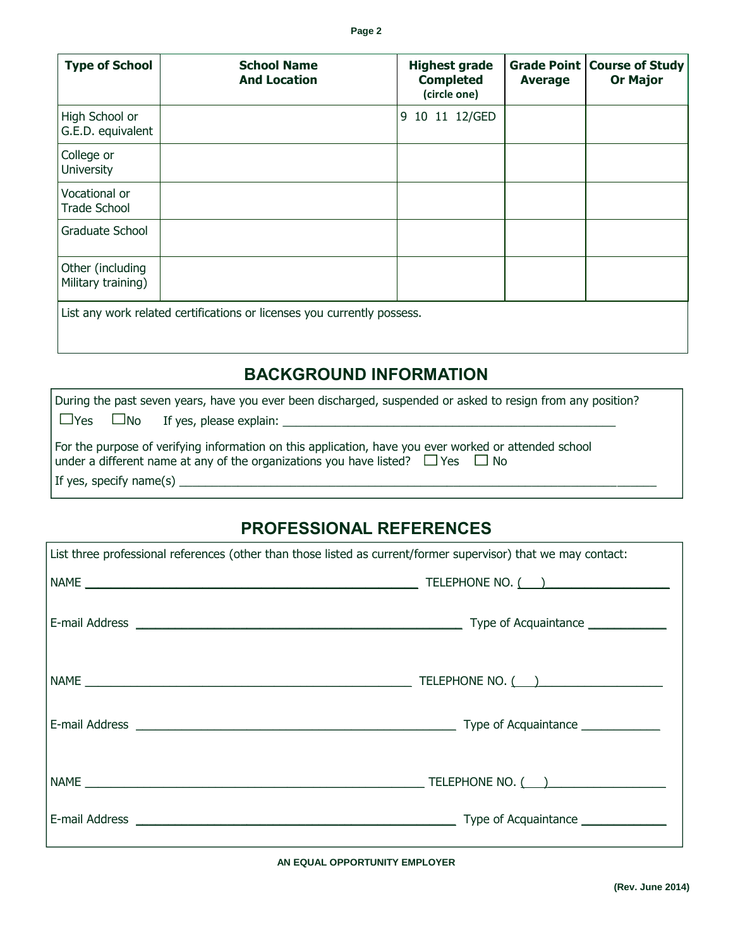| <b>Type of School</b>                  | <b>School Name</b><br><b>And Location</b>                               | <b>Highest grade</b><br><b>Completed</b><br>(circle one) | <b>Average</b> | <b>Grade Point   Course of Study</b><br><b>Or Major</b> |
|----------------------------------------|-------------------------------------------------------------------------|----------------------------------------------------------|----------------|---------------------------------------------------------|
| High School or<br>G.E.D. equivalent    |                                                                         | 10 11 12/GED<br>9                                        |                |                                                         |
| College or<br>University               |                                                                         |                                                          |                |                                                         |
| Vocational or<br><b>Trade School</b>   |                                                                         |                                                          |                |                                                         |
| Graduate School                        |                                                                         |                                                          |                |                                                         |
| Other (including<br>Military training) |                                                                         |                                                          |                |                                                         |
|                                        | List any work related certifications or licenses you currently possess. |                                                          |                |                                                         |

# **BACKGROUND INFORMATION**

|                                                                                                                                                                                                                              | During the past seven years, have you ever been discharged, suspended or asked to resign from any position? |  |  |
|------------------------------------------------------------------------------------------------------------------------------------------------------------------------------------------------------------------------------|-------------------------------------------------------------------------------------------------------------|--|--|
|                                                                                                                                                                                                                              |                                                                                                             |  |  |
| For the purpose of verifying information on this application, have you ever worked or attended school<br>under a different name at any of the organizations you have listed? $\Box$ Yes $\Box$ No<br>If yes, specify name(s) |                                                                                                             |  |  |
|                                                                                                                                                                                                                              |                                                                                                             |  |  |

# **PROFESSIONAL REFERENCES**

| List three professional references (other than those listed as current/former supervisor) that we may contact:                                                                                                                                                                                                                                                     |  |  |
|--------------------------------------------------------------------------------------------------------------------------------------------------------------------------------------------------------------------------------------------------------------------------------------------------------------------------------------------------------------------|--|--|
| $\begin{picture}(180,10) \put(0,0){\vector(1,0){100}} \put(15,0){\vector(1,0){100}} \put(15,0){\vector(1,0){100}} \put(15,0){\vector(1,0){100}} \put(15,0){\vector(1,0){100}} \put(15,0){\vector(1,0){100}} \put(15,0){\vector(1,0){100}} \put(15,0){\vector(1,0){100}} \put(15,0){\vector(1,0){100}} \put(15,0){\vector(1,0){100}} \put(15,0){\vector(1,0){100}}$ |  |  |
|                                                                                                                                                                                                                                                                                                                                                                    |  |  |
|                                                                                                                                                                                                                                                                                                                                                                    |  |  |
|                                                                                                                                                                                                                                                                                                                                                                    |  |  |
|                                                                                                                                                                                                                                                                                                                                                                    |  |  |
|                                                                                                                                                                                                                                                                                                                                                                    |  |  |

**AN EQUAL OPPORTUNITY EMPLOYER**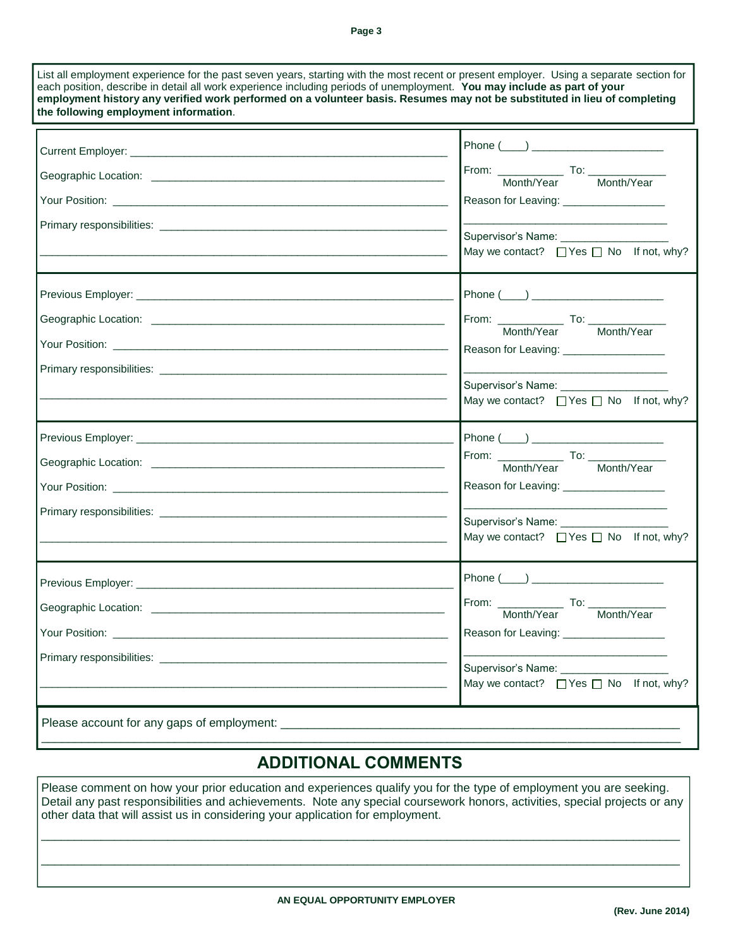**Page 3**

| the following employment information. | each position, describe in detail all work experience including periods of unemployment. You may include as part of your<br>employment history any verified work performed on a volunteer basis. Resumes may not be substituted in lieu of completing |
|---------------------------------------|-------------------------------------------------------------------------------------------------------------------------------------------------------------------------------------------------------------------------------------------------------|
|                                       |                                                                                                                                                                                                                                                       |
|                                       | From: Month/Year To: Month/Year                                                                                                                                                                                                                       |
|                                       | Reason for Leaving: ___________________                                                                                                                                                                                                               |
|                                       | Supervisor's Name: ___________________<br>May we contact? $\Box$ Yes $\Box$ No If not, why?                                                                                                                                                           |
|                                       |                                                                                                                                                                                                                                                       |
|                                       | From: Month/Year To: Month/Year                                                                                                                                                                                                                       |
|                                       | Reason for Leaving: __________________<br>Supervisor's Name: _____________________<br>May we contact? □ Yes □ No If not, why?                                                                                                                         |
|                                       | Phone $(\_\_)$                                                                                                                                                                                                                                        |
|                                       | Month/Year Month/Year                                                                                                                                                                                                                                 |
|                                       | Reason for Leaving: _____________________                                                                                                                                                                                                             |
|                                       | Supervisor's Name: ___________<br>May we contact? □ Yes □ No If not, why?                                                                                                                                                                             |
|                                       |                                                                                                                                                                                                                                                       |
| Geographic Location: ____________     | From:<br>To:<br>Month/Year<br>Month/Year                                                                                                                                                                                                              |
|                                       | Reason for Leaving: _________________                                                                                                                                                                                                                 |
|                                       | Supervisor's Name: ____________________<br>May we contact? $\Box$ Yes $\Box$ No If not, why?                                                                                                                                                          |

# **ADDITIONAL COMMENTS**

\_\_\_\_\_\_\_\_\_\_\_\_\_\_\_\_\_\_\_\_\_\_\_\_\_\_\_\_\_\_\_\_\_\_\_\_\_\_\_\_\_\_\_\_\_\_\_\_\_\_\_\_\_\_\_\_\_\_\_\_\_\_\_\_\_\_\_\_\_\_\_\_\_\_\_\_\_\_\_\_\_\_\_\_\_\_\_\_\_\_\_\_\_\_\_\_

Please comment on how your prior education and experiences qualify you for the type of employment you are seeking. Detail any past responsibilities and achievements. Note any special coursework honors, activities, special projects or any other data that will assist us in considering your application for employment.

 $\Box$ 

\_\_\_\_\_\_\_\_\_\_\_\_\_\_\_\_\_\_\_\_\_\_\_\_\_\_\_\_\_\_\_\_\_\_\_\_\_\_\_\_\_\_\_\_\_\_\_\_\_\_\_\_\_\_\_\_\_\_\_\_\_\_\_\_\_\_\_\_\_\_\_\_\_\_\_\_\_\_\_\_\_\_\_\_\_\_\_\_\_\_\_\_\_\_\_\_